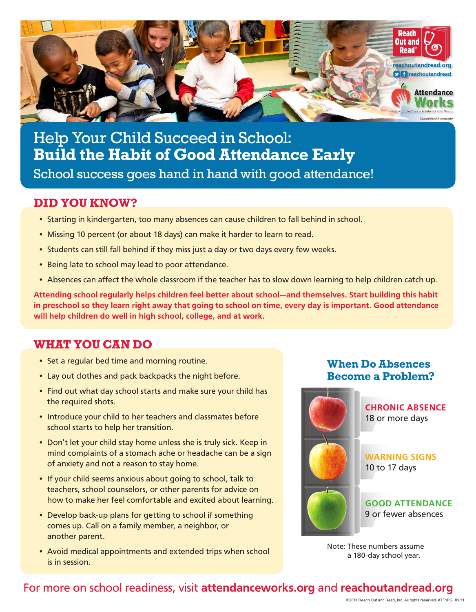

Help Your Child Succeed in School: **Build the Habit of Good Attendance Early**

School success goes hand in hand with good attendance!

### **DID YOU KNOW?**

- Starting in kindergarten, too many absences can cause children to fall behind in school.
- Missing 10 percent (or about 18 days) can make it harder to learn to read.
- Students can still fall behind if they miss just a day or two days every few weeks.
- Being late to school may lead to poor attendance.
- Absences can affect the whole classroom if the teacher has to slow down learning to help children catch up.

**Attending school regularly helps children feel better about school—and themselves. Start building this habit in preschool so they learn right away that going to school on time, every day is important. Good attendance will help children do well in high school, college, and at work.**

## **WHAT YOU CAN DO**

- Set a regular bed time and morning routine.
- Lay out clothes and pack backpacks the night before.
- Find out what day school starts and make sure your child has the required shots.
- Introduce your child to her teachers and classmates before school starts to help her transition.
- Don't let your child stay home unless she is truly sick. Keep in mind complaints of a stomach ache or headache can be a sign of anxiety and not a reason to stay home.
- If your child seems anxious about going to school, talk to teachers, school counselors, or other parents for advice on how to make her feel comfortable and excited about learning.
- Develop back-up plans for getting to school if something comes up. Call on a family member, a neighbor, or another parent.
- Avoid medical appointments and extended trips when school is in session.

#### **When Do Absences Become a Problem?**



Note: These numbers assume a 180-day school year.

## For more on school readiness, visit **attendanceworks.org** and **reachoutandread.org**